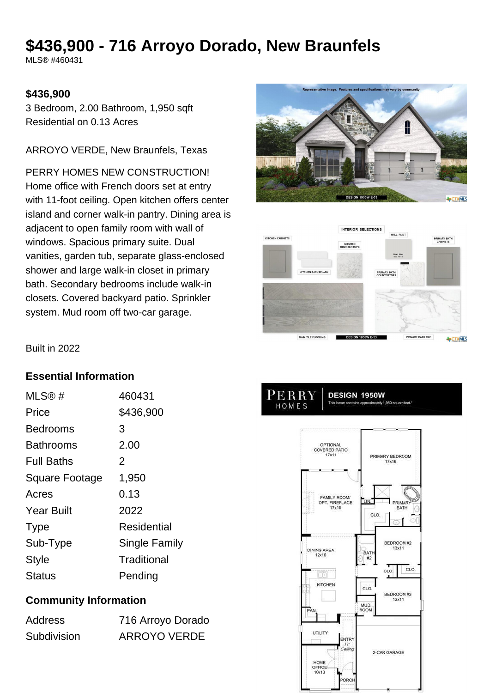# **\$436,900 - 716 Arroyo Dorado, New Braunfels**

MLS® #460431

#### **\$436,900**

3 Bedroom, 2.00 Bathroom, 1,950 sqft Residential on 0.13 Acres

ARROYO VERDE, New Braunfels, Texas

PERRY HOMES NEW CONSTRUCTION! Home office with French doors set at entry with 11-foot ceiling. Open kitchen offers center island and corner walk-in pantry. Dining area is adjacent to open family room with wall of windows. Spacious primary suite. Dual vanities, garden tub, separate glass-enclosed shower and large walk-in closet in primary bath. Secondary bedrooms include walk-in closets. Covered backyard patio. Sprinkler system. Mud room off two-car garage.





Built in 2022

#### **Essential Information**

| MLS@#                 | 460431        |
|-----------------------|---------------|
| Price                 | \$436,900     |
| <b>Bedrooms</b>       | 3             |
| Bathrooms             | 2.00          |
| <b>Full Baths</b>     | 2             |
| <b>Square Footage</b> | 1,950         |
| Acres                 | 0.13          |
| <b>Year Built</b>     | 2022          |
| <b>Type</b>           | Residential   |
| Sub-Type              | Single Family |
| Style                 | Traditional   |
| Status                | Pending       |

## **Community Information**

| <b>Address</b> | 716 Arroyo Dorado   |
|----------------|---------------------|
| Subdivision    | <b>ARROYO VERDE</b> |

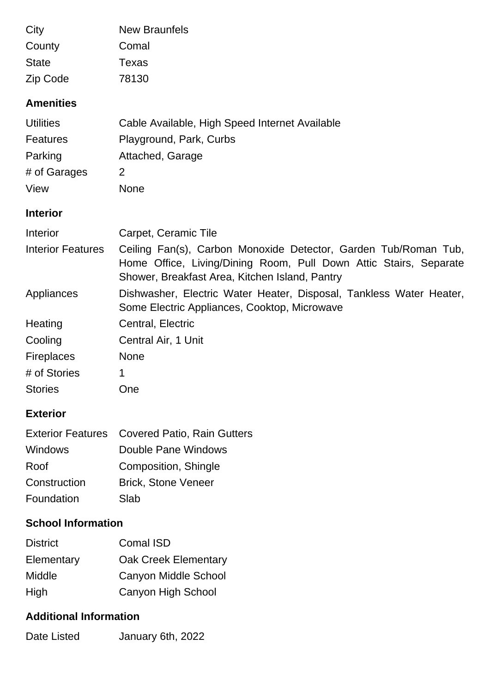| City                     | <b>New Braunfels</b>                                                                                                                                                                   |  |
|--------------------------|----------------------------------------------------------------------------------------------------------------------------------------------------------------------------------------|--|
| County                   | Comal                                                                                                                                                                                  |  |
| <b>State</b>             | <b>Texas</b>                                                                                                                                                                           |  |
| Zip Code                 | 78130                                                                                                                                                                                  |  |
| <b>Amenities</b>         |                                                                                                                                                                                        |  |
| <b>Utilities</b>         | Cable Available, High Speed Internet Available                                                                                                                                         |  |
| <b>Features</b>          | Playground, Park, Curbs                                                                                                                                                                |  |
| Parking                  | Attached, Garage                                                                                                                                                                       |  |
| # of Garages             | $\overline{2}$                                                                                                                                                                         |  |
| View                     | None                                                                                                                                                                                   |  |
| <b>Interior</b>          |                                                                                                                                                                                        |  |
| Interior                 | Carpet, Ceramic Tile                                                                                                                                                                   |  |
| <b>Interior Features</b> | Ceiling Fan(s), Carbon Monoxide Detector, Garden Tub/Roman Tub,<br>Home Office, Living/Dining Room, Pull Down Attic Stairs, Separate<br>Shower, Breakfast Area, Kitchen Island, Pantry |  |
| Appliances               | Dishwasher, Electric Water Heater, Disposal, Tankless Water Heater,<br>Some Electric Appliances, Cooktop, Microwave                                                                    |  |
| Heating                  | Central, Electric                                                                                                                                                                      |  |
| Cooling                  | Central Air, 1 Unit                                                                                                                                                                    |  |
| <b>Fireplaces</b>        | <b>None</b>                                                                                                                                                                            |  |
| # of Stories             | 1                                                                                                                                                                                      |  |
| <b>Stories</b>           | One                                                                                                                                                                                    |  |
| <b>Exterior</b>          |                                                                                                                                                                                        |  |
| <b>Exterior Features</b> | <b>Covered Patio, Rain Gutters</b>                                                                                                                                                     |  |
| Windows                  | Double Pane Windows                                                                                                                                                                    |  |
| Roof                     | Composition, Shingle                                                                                                                                                                   |  |
| Construction             | <b>Brick, Stone Veneer</b>                                                                                                                                                             |  |
| Foundation               | Slab                                                                                                                                                                                   |  |

# **School Information**

| <b>District</b> | <b>Comal ISD</b>            |
|-----------------|-----------------------------|
| Elementary      | <b>Oak Creek Elementary</b> |
| Middle          | <b>Canyon Middle School</b> |
| High            | Canyon High School          |

# **Additional Information**

| Date Listed | January 6th, 2022 |
|-------------|-------------------|
|             |                   |